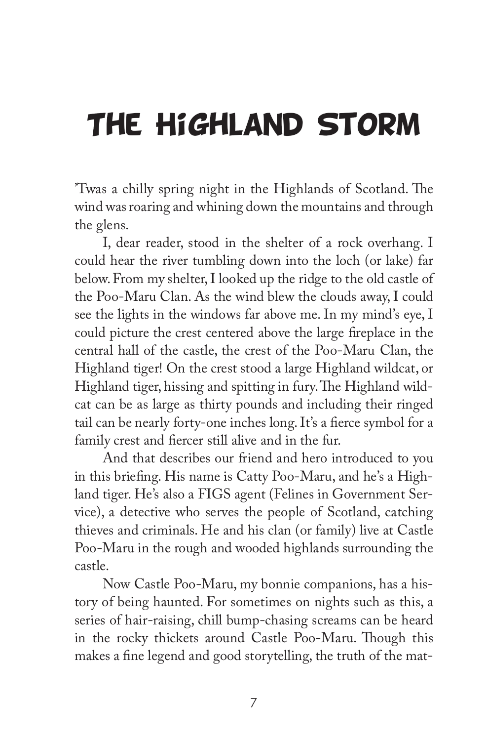## THE HIGHLAND STORM

'Twas a chilly spring night in the Highlands of Scotland. The wind was roaring and whining down the mountains and through the glens.

I, dear reader, stood in the shelter of a rock overhang. I could hear the river tumbling down into the loch (or lake) far below. From my shelter, I looked up the ridge to the old castle of the Poo-Maru Clan. As the wind blew the clouds away, I could see the lights in the windows far above me. In my mind's eye, I could picture the crest centered above the large fireplace in the central hall of the castle, the crest of the Poo-Maru Clan, the Highland tiger! On the crest stood a large Highland wildcat, or Highland tiger, hissing and spitting in fury. The Highland wildcat can be as large as thirty pounds and including their ringed tail can be nearly forty-one inches long. It's a fierce symbol for a family crest and fiercer still alive and in the fur.

And that describes our friend and hero introduced to you in this briefing. His name is Catty Poo-Maru, and he's a Highland tiger. He's also a FIGS agent (Felines in Government Service), a detective who serves the people of Scotland, catching thieves and criminals. He and his clan (or family) live at Castle Poo-Maru in the rough and wooded highlands surrounding the castle.

Now Castle Poo-Maru, my bonnie companions, has a history of being haunted. For sometimes on nights such as this, a series of hair-raising, chill bump-chasing screams can be heard in the rocky thickets around Castle Poo-Maru. Though this makes a fine legend and good storytelling, the truth of the mat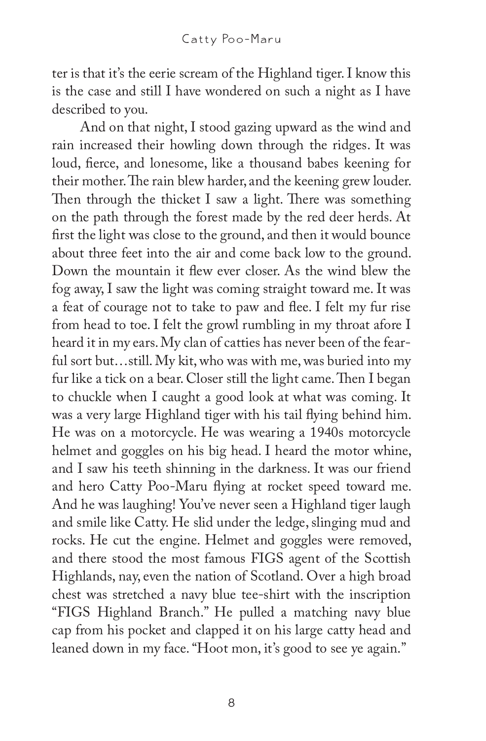ter is that it's the eerie scream of the Highland tiger. I know this is the case and still I have wondered on such a night as I have described to you.

And on that night, I stood gazing upward as the wind and rain increased their howling down through the ridges. It was loud, fierce, and lonesome, like a thousand babes keening for their mother. The rain blew harder, and the keening grew louder. Then through the thicket I saw a light. There was something on the path through the forest made by the red deer herds. At first the light was close to the ground, and then it would bounce about three feet into the air and come back low to the ground. Down the mountain it flew ever closer. As the wind blew the fog away, I saw the light was coming straight toward me. It was a feat of courage not to take to paw and flee. I felt my fur rise from head to toe. I felt the growl rumbling in my throat afore I heard it in my ears. My clan of catties has never been of the fearful sort but…still. My kit, who was with me, was buried into my fur like a tick on a bear. Closer still the light came. Then I began to chuckle when I caught a good look at what was coming. It was a very large Highland tiger with his tail flying behind him. He was on a motorcycle. He was wearing a 1940s motorcycle helmet and goggles on his big head. I heard the motor whine, and I saw his teeth shinning in the darkness. It was our friend and hero Catty Poo-Maru flying at rocket speed toward me. And he was laughing! You've never seen a Highland tiger laugh and smile like Catty. He slid under the ledge, slinging mud and rocks. He cut the engine. Helmet and goggles were removed, and there stood the most famous FIGS agent of the Scottish Highlands, nay, even the nation of Scotland. Over a high broad chest was stretched a navy blue tee-shirt with the inscription "FIGS Highland Branch." He pulled a matching navy blue cap from his pocket and clapped it on his large catty head and leaned down in my face. "Hoot mon, it's good to see ye again."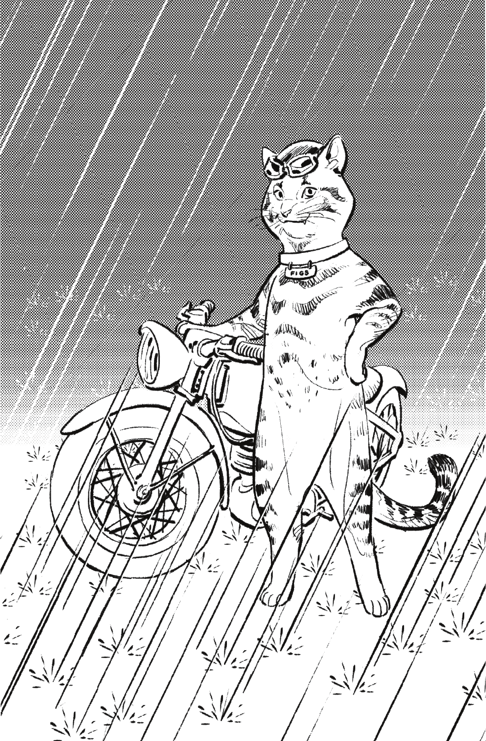